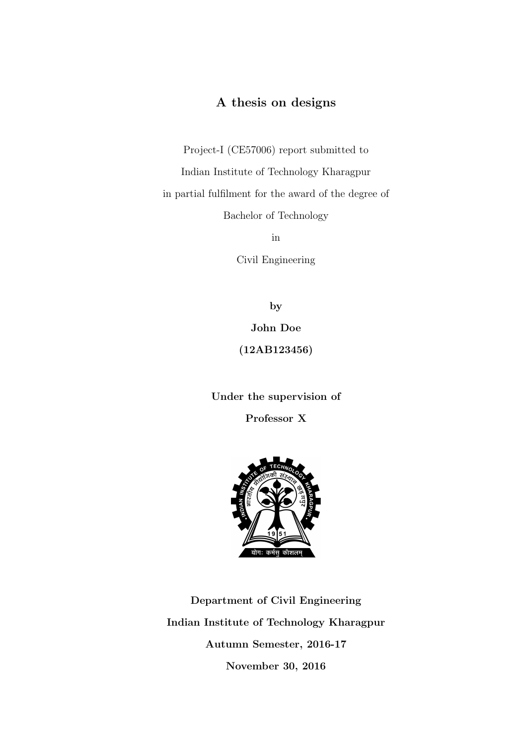#### A thesis on designs

Project-I (CE57006) report submitted to Indian Institute of Technology Kharagpur in partial fulfilment for the award of the degree of

Bachelor of Technology

in

Civil Engineering

by

John Doe (12AB123456)

Under the supervision of

Professor X



Department of Civil Engineering Indian Institute of Technology Kharagpur Autumn Semester, 2016-17 November 30, 2016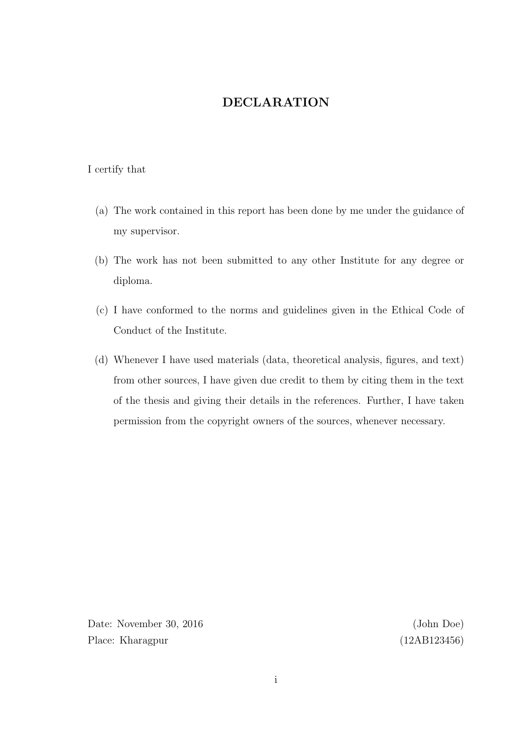#### DECLARATION

#### <span id="page-1-0"></span>I certify that

- (a) The work contained in this report has been done by me under the guidance of my supervisor.
- (b) The work has not been submitted to any other Institute for any degree or diploma.
- (c) I have conformed to the norms and guidelines given in the Ethical Code of Conduct of the Institute.
- (d) Whenever I have used materials (data, theoretical analysis, figures, and text) from other sources, I have given due credit to them by citing them in the text of the thesis and giving their details in the references. Further, I have taken permission from the copyright owners of the sources, whenever necessary.

Date: November 30, 2016 (John Doe) Place: Kharagpur (12AB123456)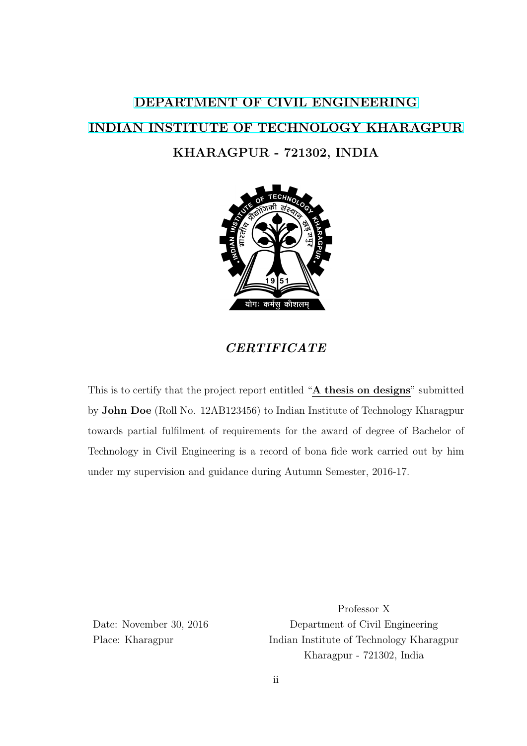### <span id="page-2-0"></span>[DEPARTMENT OF CIVIL ENGINEERING](http://www.iitkgp.ac.in/department/CE) [INDIAN INSTITUTE OF TECHNOLOGY KHARAGPUR](http://www.iitkgp.ac.in) KHARAGPUR - 721302, INDIA



#### CERTIFICATE

This is to certify that the project report entitled "A thesis on designs" submitted by John Doe (Roll No. 12AB123456) to Indian Institute of Technology Kharagpur towards partial fulfilment of requirements for the award of degree of Bachelor of Technology in Civil Engineering is a record of bona fide work carried out by him under my supervision and guidance during Autumn Semester, 2016-17.

Professor X Date: November 30, 2016 Department of Civil Engineering Place: Kharagpur Indian Institute of Technology Kharagpur Kharagpur - 721302, India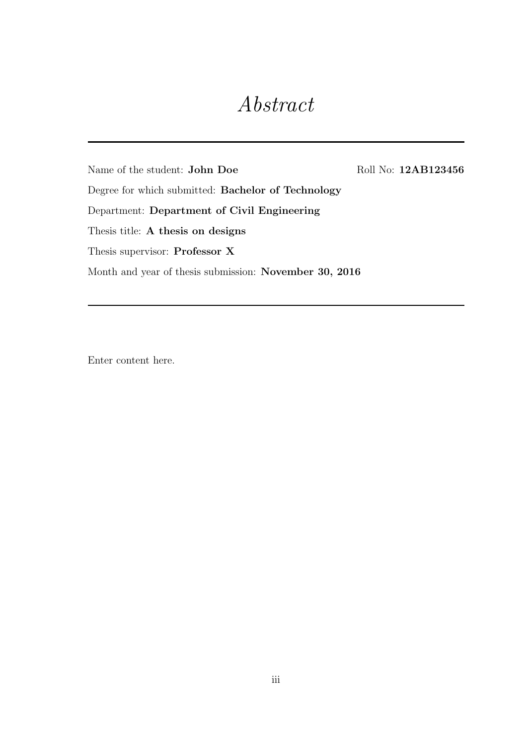### Abstract

<span id="page-3-0"></span>Name of the student: John Doe Roll No: 12AB123456

Degree for which submitted: Bachelor of Technology

Department: Department of Civil Engineering

Thesis title: A thesis on designs

Thesis supervisor: Professor X

Month and year of thesis submission: November 30, 2016

Enter content here.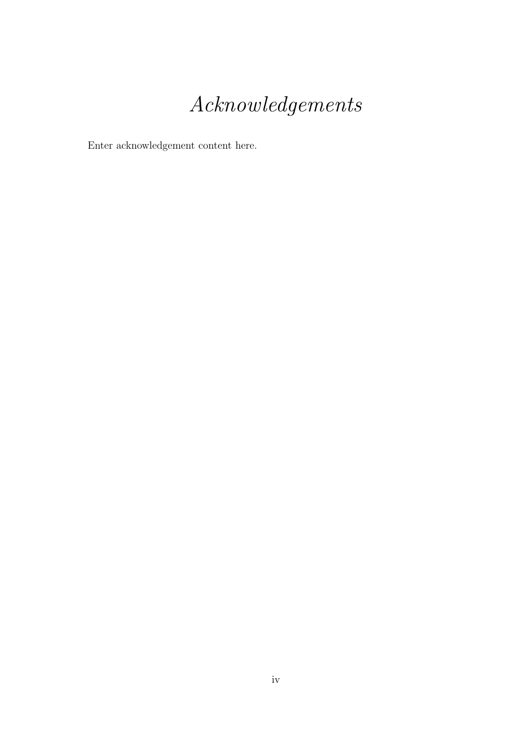## Acknowledgements

<span id="page-4-0"></span>Enter acknowledgement content here.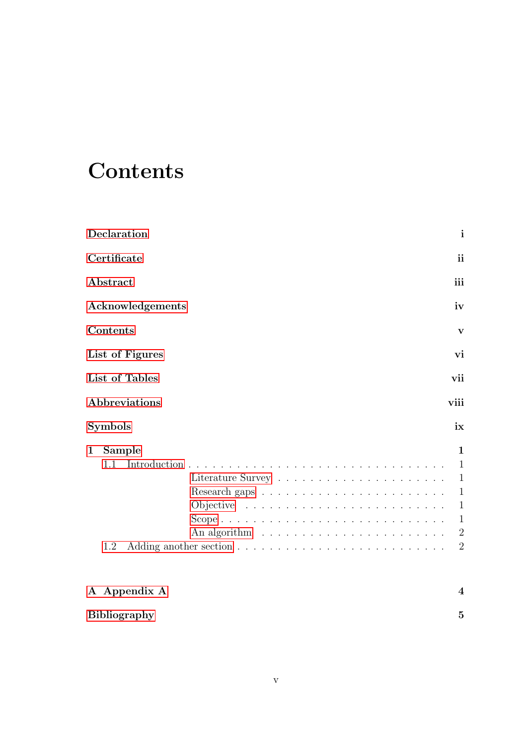### <span id="page-5-0"></span>**Contents**

|                       | Declaration           | $\mathbf{i}$                                                                                                      |  |  |  |  |  |  |  |  |  |
|-----------------------|-----------------------|-------------------------------------------------------------------------------------------------------------------|--|--|--|--|--|--|--|--|--|
|                       | Certificate           | ii                                                                                                                |  |  |  |  |  |  |  |  |  |
|                       | Abstract              | iii                                                                                                               |  |  |  |  |  |  |  |  |  |
|                       | Acknowledgements      | iv                                                                                                                |  |  |  |  |  |  |  |  |  |
|                       | Contents              | V                                                                                                                 |  |  |  |  |  |  |  |  |  |
|                       | List of Figures       | vi                                                                                                                |  |  |  |  |  |  |  |  |  |
| List of Tables<br>vii |                       |                                                                                                                   |  |  |  |  |  |  |  |  |  |
|                       | Abbreviations<br>viii |                                                                                                                   |  |  |  |  |  |  |  |  |  |
|                       | Symbols               | ix                                                                                                                |  |  |  |  |  |  |  |  |  |
| $\mathbf 1$           | Sample<br>1.1<br>1.2  | 1<br>$\mathbf{1}$<br>$\mathbf{1}$<br>$\mathbf{1}$<br>$\mathbf{1}$<br>$\mathbf{1}$<br>$\sqrt{2}$<br>$\overline{2}$ |  |  |  |  |  |  |  |  |  |
|                       | A Appendix A          | 4                                                                                                                 |  |  |  |  |  |  |  |  |  |
|                       | <b>Bibliography</b>   | $\overline{5}$                                                                                                    |  |  |  |  |  |  |  |  |  |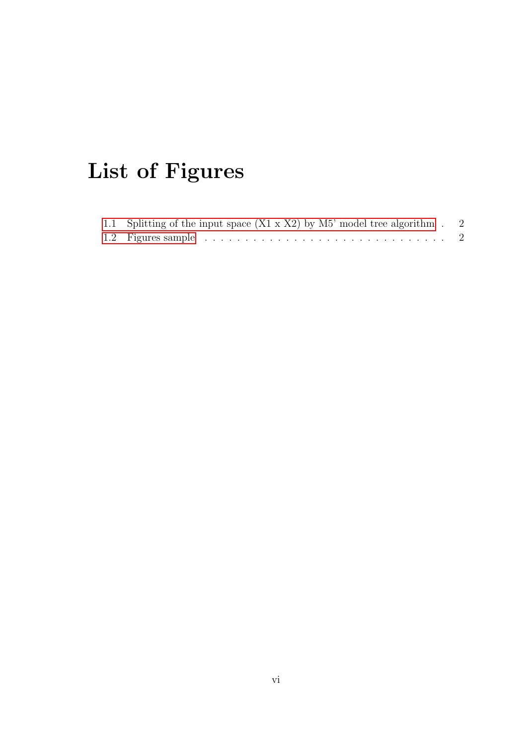# <span id="page-6-0"></span>List of Figures

| 1.1 Splitting of the input space $(X1 \times X2)$ by M5' model tree algorithm . 2 |  |
|-----------------------------------------------------------------------------------|--|
|                                                                                   |  |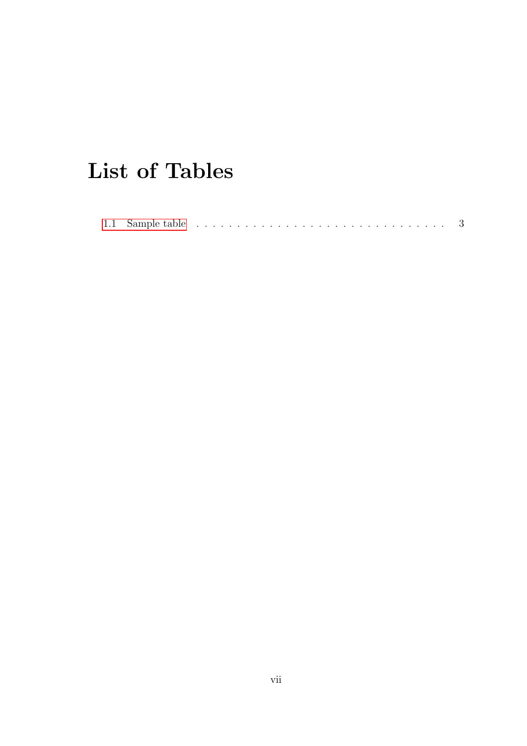## <span id="page-7-0"></span>List of Tables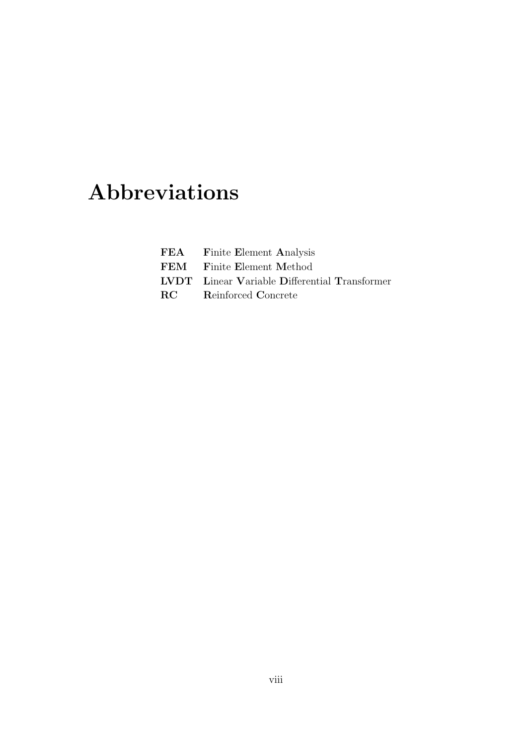## <span id="page-8-0"></span>Abbreviations

| <b>FEA</b> Finite Element Analysis                   |
|------------------------------------------------------|
| <b>FEM</b> Finite Element Method                     |
| <b>LVDT</b> Linear Variable Differential Transformer |
| <b>RC</b> Reinforced Concrete                        |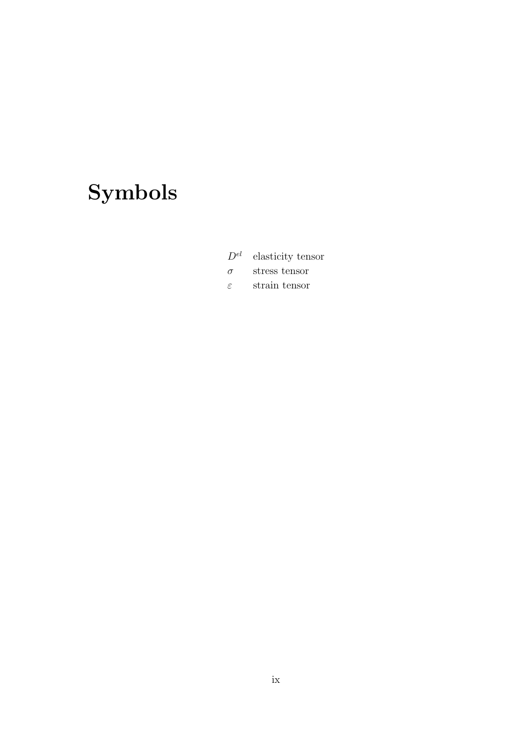# <span id="page-9-0"></span>Symbols

 $D^{el}$  elasticity tensor

 $\sigma$  stress tensor

 $\varepsilon$  strain tensor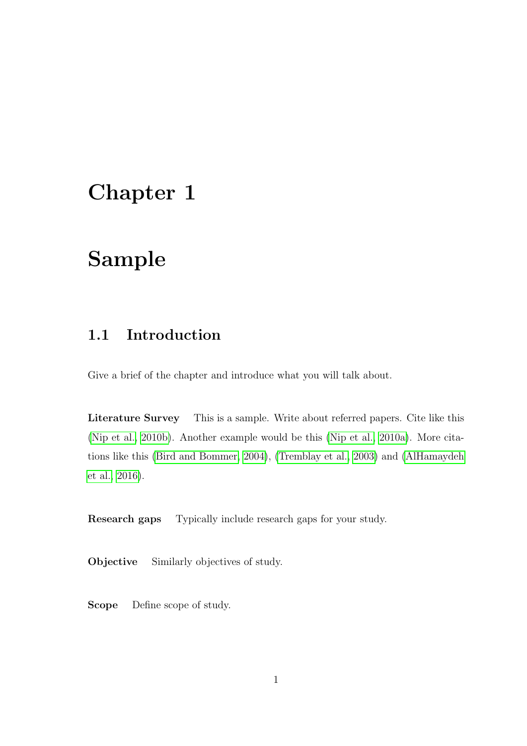### <span id="page-10-0"></span>Chapter 1

### Sample

#### <span id="page-10-1"></span>1.1 Introduction

Give a brief of the chapter and introduce what you will talk about.

<span id="page-10-2"></span>Literature Survey This is a sample. Write about referred papers. Cite like this [\(Nip et al., 2010b\)](#page-14-1). Another example would be this [\(Nip et al., 2010a\)](#page-14-2). More citations like this [\(Bird and Bommer, 2004\)](#page-14-3), [\(Tremblay et al., 2003\)](#page-14-4) and [\(AlHamaydeh](#page-14-5) [et al., 2016\)](#page-14-5).

<span id="page-10-3"></span>Research gaps Typically include research gaps for your study.

<span id="page-10-4"></span>Objective Similarly objectives of study.

<span id="page-10-5"></span>Scope Define scope of study.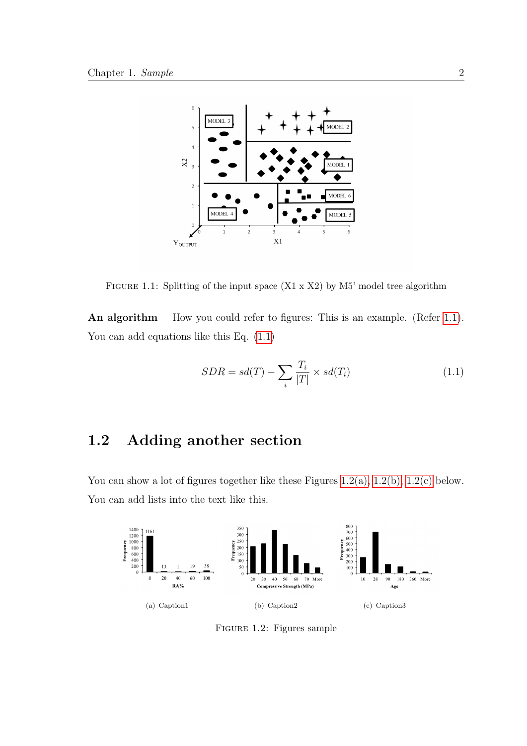<span id="page-11-2"></span>

FIGURE 1.1: Splitting of the input space  $(X1 \times X2)$  by M5' model tree algorithm

<span id="page-11-0"></span>An algorithm How you could refer to figures: This is an example. (Refer [1.1\)](#page-11-2). You can add equations like this Eq.  $(1.1)$ 

<span id="page-11-4"></span>
$$
SDR = sd(T) - \sum_{i} \frac{T_i}{|T|} \times sd(T_i)
$$
\n(1.1)

#### <span id="page-11-1"></span>1.2 Adding another section

You can show a lot of figures together like these Figures  $1.2(a)$ ,  $1.2(b)$ ,  $1.2(c)$  below. You can add lists into the text like this.

<span id="page-11-5"></span><span id="page-11-3"></span>

<span id="page-11-7"></span><span id="page-11-6"></span>FIGURE 1.2: Figures sample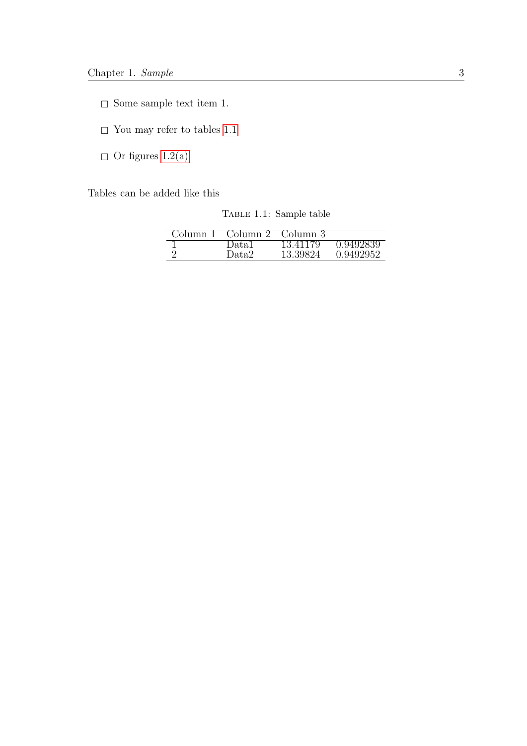- $\hfill\Box$  Some sample text item 1.
- $\hfill\Box$  <br> You may refer to tables  $1.1$
- $\hfill\Box$ <br> <br> Or figures [1.2\(a\)](#page-11-5)

<span id="page-12-0"></span>Tables can be added like this

TABLE 1.1: Sample table

| ∶∩lumn | Column | Column 3 |           |
|--------|--------|----------|-----------|
|        | Datal  | 13.41179 | 0.9492839 |
| ∩      | Data2  | 13.39824 | 0.9492952 |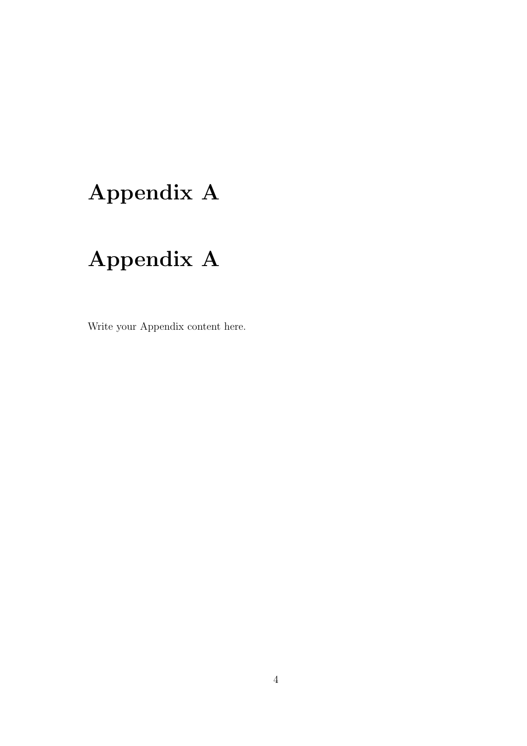## <span id="page-13-0"></span>Appendix A

## Appendix A

Write your Appendix content here.